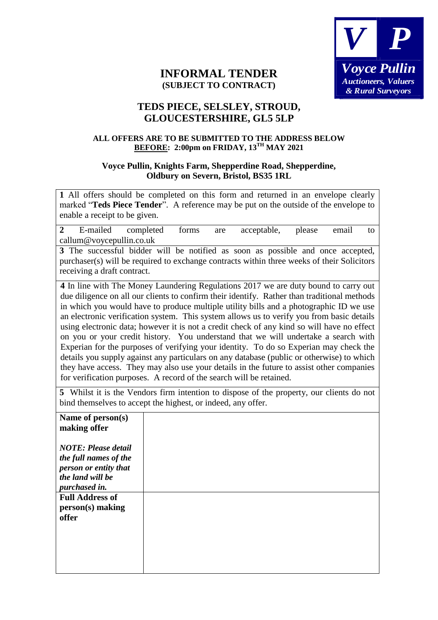

## **INFORMAL TENDER (SUBJECT TO CONTRACT)**

## **TEDS PIECE, SELSLEY, STROUD, GLOUCESTERSHIRE, GL5 5LP**

## **ALL OFFERS ARE TO BE SUBMITTED TO THE ADDRESS BELOW BEFORE: 2:00pm on FRIDAY, 13TH MAY 2021**

## **Voyce Pullin, Knights Farm, Shepperdine Road, Shepperdine, Oldbury on Severn, Bristol, BS35 1RL**

**1** All offers should be completed on this form and returned in an envelope clearly marked "**Teds Piece Tender**". A reference may be put on the outside of the envelope to enable a receipt to be given.

| $2^{\circ}$                                                                                                                                              |                                                                                                                                                                                                                                                                                                                                                                                                                                                                                                                                                                                                                                                                                                                                                                                                                                                                                                                        | E-mailed completed | forms | are | acceptable,                                                                                                                                                                   | please | email | to |
|----------------------------------------------------------------------------------------------------------------------------------------------------------|------------------------------------------------------------------------------------------------------------------------------------------------------------------------------------------------------------------------------------------------------------------------------------------------------------------------------------------------------------------------------------------------------------------------------------------------------------------------------------------------------------------------------------------------------------------------------------------------------------------------------------------------------------------------------------------------------------------------------------------------------------------------------------------------------------------------------------------------------------------------------------------------------------------------|--------------------|-------|-----|-------------------------------------------------------------------------------------------------------------------------------------------------------------------------------|--------|-------|----|
|                                                                                                                                                          | callum@voycepullin.co.uk                                                                                                                                                                                                                                                                                                                                                                                                                                                                                                                                                                                                                                                                                                                                                                                                                                                                                               |                    |       |     |                                                                                                                                                                               |        |       |    |
|                                                                                                                                                          |                                                                                                                                                                                                                                                                                                                                                                                                                                                                                                                                                                                                                                                                                                                                                                                                                                                                                                                        |                    |       |     | 3 The successful bidder will be notified as soon as possible and once accepted,<br>purchaser(s) will be required to exchange contracts within three weeks of their Solicitors |        |       |    |
|                                                                                                                                                          | receiving a draft contract.                                                                                                                                                                                                                                                                                                                                                                                                                                                                                                                                                                                                                                                                                                                                                                                                                                                                                            |                    |       |     |                                                                                                                                                                               |        |       |    |
|                                                                                                                                                          | 4 In line with The Money Laundering Regulations 2017 we are duty bound to carry out<br>due diligence on all our clients to confirm their identify. Rather than traditional methods<br>in which you would have to produce multiple utility bills and a photographic ID we use<br>an electronic verification system. This system allows us to verify you from basic details<br>using electronic data; however it is not a credit check of any kind so will have no effect<br>on you or your credit history. You understand that we will undertake a search with<br>Experian for the purposes of verifying your identity. To do so Experian may check the<br>details you supply against any particulars on any database (public or otherwise) to which<br>they have access. They may also use your details in the future to assist other companies<br>for verification purposes. A record of the search will be retained. |                    |       |     |                                                                                                                                                                               |        |       |    |
| 5 Whilst it is the Vendors firm intention to dispose of the property, our clients do not<br>bind themselves to accept the highest, or indeed, any offer. |                                                                                                                                                                                                                                                                                                                                                                                                                                                                                                                                                                                                                                                                                                                                                                                                                                                                                                                        |                    |       |     |                                                                                                                                                                               |        |       |    |

| Name of person(s)<br>making offer                                                                                 |  |
|-------------------------------------------------------------------------------------------------------------------|--|
| <b>NOTE: Please detail</b><br>the full names of the<br>person or entity that<br>the land will be<br>purchased in. |  |
| <b>Full Address of</b><br>person(s) making<br>offer                                                               |  |
|                                                                                                                   |  |